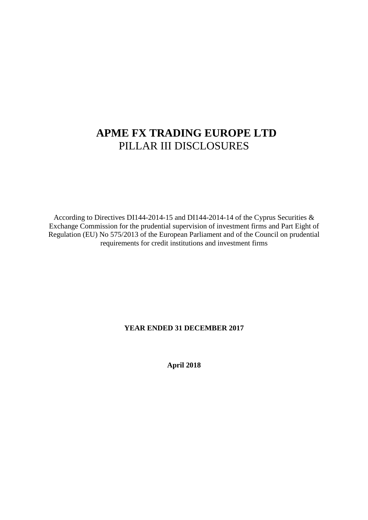# **APME FX TRADING EUROPE LTD**  PILLAR III DISCLOSURES

According to Directives DI144-2014-15 and DI144-2014-14 of the Cyprus Securities & Exchange Commission for the prudential supervision of investment firms and Part Eight of Regulation (EU) No 575/2013 of the European Parliament and of the Council on prudential requirements for credit institutions and investment firms

### **YEAR ENDED 31 DECEMBER 2017**

**April 2018**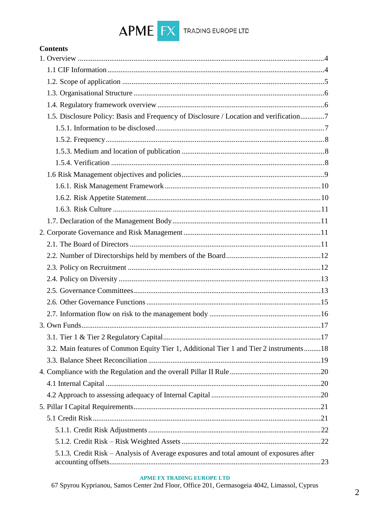

# **Contents**

| 1.5. Disclosure Policy: Basis and Frequency of Disclosure / Location and verification7   |  |
|------------------------------------------------------------------------------------------|--|
|                                                                                          |  |
|                                                                                          |  |
|                                                                                          |  |
|                                                                                          |  |
|                                                                                          |  |
|                                                                                          |  |
|                                                                                          |  |
|                                                                                          |  |
|                                                                                          |  |
|                                                                                          |  |
|                                                                                          |  |
|                                                                                          |  |
|                                                                                          |  |
|                                                                                          |  |
|                                                                                          |  |
|                                                                                          |  |
|                                                                                          |  |
|                                                                                          |  |
|                                                                                          |  |
| 3.2. Main features of Common Equity Tier 1, Additional Tier 1 and Tier 2 instruments  18 |  |
|                                                                                          |  |
|                                                                                          |  |
|                                                                                          |  |
|                                                                                          |  |
|                                                                                          |  |
|                                                                                          |  |
|                                                                                          |  |
|                                                                                          |  |
| 5.1.3. Credit Risk - Analysis of Average exposures and total amount of exposures after   |  |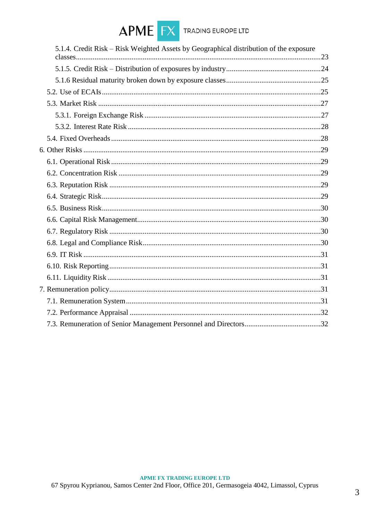

| 5.1.4. Credit Risk – Risk Weighted Assets by Geographical distribution of the exposure |  |
|----------------------------------------------------------------------------------------|--|
|                                                                                        |  |
|                                                                                        |  |
|                                                                                        |  |
|                                                                                        |  |
|                                                                                        |  |
|                                                                                        |  |
|                                                                                        |  |
|                                                                                        |  |
|                                                                                        |  |
|                                                                                        |  |
|                                                                                        |  |
|                                                                                        |  |
|                                                                                        |  |
|                                                                                        |  |
|                                                                                        |  |
|                                                                                        |  |
|                                                                                        |  |
|                                                                                        |  |
|                                                                                        |  |
|                                                                                        |  |
|                                                                                        |  |
|                                                                                        |  |
|                                                                                        |  |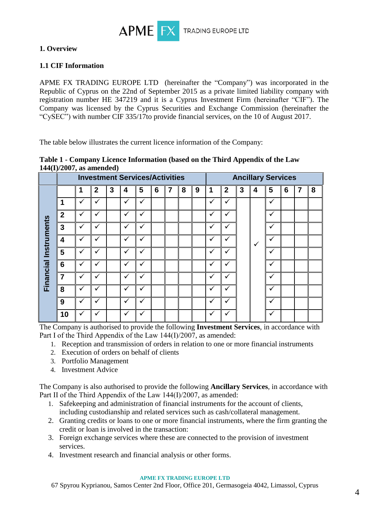

# **1. Overview**

# **1.1 CIF Information**

APME FX TRADING EUROPE LTD (hereinafter the "Company") was incorporated in the Republic of Cyprus on the 22nd of September 2015 as a private limited liability company with registration number HE 347219 and it is a Cyprus Investment Firm (hereinafter "CIF"). The Company was licensed by the Cyprus Securities and Exchange Commission (hereinafter the "CySEC") with number CIF 335/17to provide financial services, on the 10 of August 2017.

The table below illustrates the current licence information of the Company:

|                       | <b>Investment Services/Activities</b> |              |              |   |              |              |   |   |   |   |              | <b>Ancillary Services</b> |   |              |              |                 |   |   |
|-----------------------|---------------------------------------|--------------|--------------|---|--------------|--------------|---|---|---|---|--------------|---------------------------|---|--------------|--------------|-----------------|---|---|
|                       |                                       |              | $\mathbf{2}$ | 3 | 4            | 5            | 6 | 7 | 8 | 9 | 1            | $\overline{2}$            | 3 | 4            | 5            | $6\phantom{1}6$ | 7 | 8 |
|                       |                                       | ✓            | $\checkmark$ |   |              | ✓            |   |   |   |   | $\checkmark$ | $\checkmark$              |   |              | ✓            |                 |   |   |
|                       | $\overline{2}$                        | $\checkmark$ | $\checkmark$ |   | $\checkmark$ | ✓            |   |   |   |   | ✓            | $\checkmark$              |   |              | $\checkmark$ |                 |   |   |
|                       | $\overline{3}$                        | $\checkmark$ | $\checkmark$ |   | $\checkmark$ | $\checkmark$ |   |   |   |   | ✓            | $\checkmark$              |   |              | ✓            |                 |   |   |
|                       | $\overline{\mathbf{4}}$               | $\checkmark$ | $\checkmark$ |   | ✓            | $\checkmark$ |   |   |   |   | ✓            | $\checkmark$              |   | $\checkmark$ | ✓            |                 |   |   |
|                       | 5                                     | ✓            | $\checkmark$ |   | $\checkmark$ | ✓            |   |   |   |   | ✓            | ✓                         |   |              |              |                 |   |   |
| Financial Instruments | $6\phantom{1}6$                       | ✓            | $\checkmark$ |   | $\checkmark$ | ✓            |   |   |   |   | ✓            | $\checkmark$              |   |              | ✓            |                 |   |   |
|                       | $\overline{7}$                        | ✓            | ✓            |   |              | ✓            |   |   |   |   | ✓            | $\checkmark$              |   |              | ✓            |                 |   |   |
|                       | 8                                     | ✓            | ✓            |   |              | ✓            |   |   |   |   | $\checkmark$ | v                         |   |              | ✓            |                 |   |   |
|                       | 9                                     | v            | ✓            |   |              |              |   |   |   |   | $\checkmark$ | ✓                         |   |              | $\checkmark$ |                 |   |   |
|                       | 10                                    |              |              |   |              |              |   |   |   |   | ✓            |                           |   |              |              |                 |   |   |

### **Table 1 - Company Licence Information (based on the Third Appendix of the Law 144(I)/2007, as amended)**

The Company is authorised to provide the following **Investment Services**, in accordance with Part I of the Third Appendix of the Law 144(I)/2007, as amended:

- 1. Reception and transmission of orders in relation to one or more financial instruments
- 2. Execution of orders on behalf of clients
- 3. Portfolio Management
- 4. Investment Advice

The Company is also authorised to provide the following **Ancillary Services**, in accordance with Part II of the Third Appendix of the Law 144(I)/2007, as amended:

- 1. Safekeeping and administration of financial instruments for the account of clients, including custodianship and related services such as cash/collateral management.
- 2. Granting credits or loans to one or more financial instruments, where the firm granting the credit or loan is involved in the transaction:
- 3. Foreign exchange services where these are connected to the provision of investment services.
- 4. Investment research and financial analysis or other forms.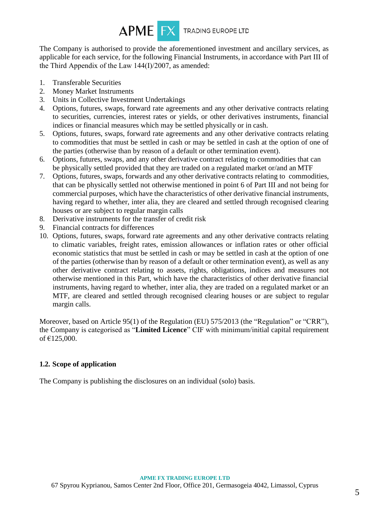

The Company is authorised to provide the aforementioned investment and ancillary services, as applicable for each service, for the following Financial Instruments, in accordance with Part III of the Third Appendix of the Law 144(Ι)/2007, as amended:

- 1. Transferable Securities
- 2. Money Market Instruments
- 3. Units in Collective Investment Undertakings
- 4. Options, futures, swaps, forward rate agreements and any other derivative contracts relating to securities, currencies, interest rates or yields, or other derivatives instruments, financial indices or financial measures which may be settled physically or in cash.
- 5. Options, futures, swaps, forward rate agreements and any other derivative contracts relating to commodities that must be settled in cash or may be settled in cash at the option of one of the parties (otherwise than by reason of a default or other termination event).
- 6. Options, futures, swaps, and any other derivative contract relating to commodities that can be physically settled provided that they are traded on a regulated market or/and an MTF
- 7. Options, futures, swaps, forwards and any other derivative contracts relating to commodities, that can be physically settled not otherwise mentioned in point 6 of Part III and not being for commercial purposes, which have the characteristics of other derivative financial instruments, having regard to whether, inter alia, they are cleared and settled through recognised clearing houses or are subject to regular margin calls
- 8. Derivative instruments for the transfer of credit risk
- 9. Financial contracts for differences
- 10. Options, futures, swaps, forward rate agreements and any other derivative contracts relating to climatic variables, freight rates, emission allowances or inflation rates or other official economic statistics that must be settled in cash or may be settled in cash at the option of one of the parties (otherwise than by reason of a default or other termination event), as well as any other derivative contract relating to assets, rights, obligations, indices and measures not otherwise mentioned in this Part, which have the characteristics of other derivative financial instruments, having regard to whether, inter alia, they are traded on a regulated market or an MTF, are cleared and settled through recognised clearing houses or are subject to regular margin calls.

Moreover, based on Article 95(1) of the Regulation (EU) 575/2013 (the "Regulation" or "CRR"), the Company is categorised as "**Limited Licence**" CIF with minimum/initial capital requirement of €125,000.

### **1.2. Scope of application**

The Company is publishing the disclosures on an individual (solo) basis.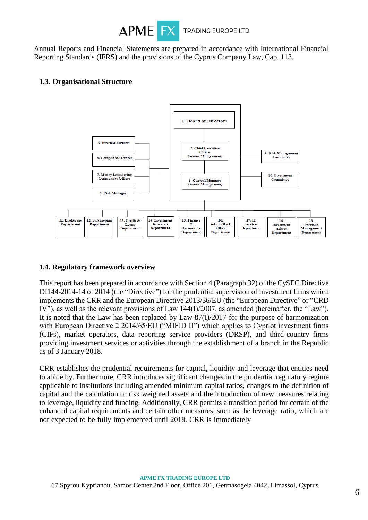

Annual Reports and Financial Statements are prepared in accordance with International Financial Reporting Standards (IFRS) and the provisions of the Cyprus Company Law, Cap. 113.

### **1.3. Organisational Structure**



### **1.4. Regulatory framework overview**

This report has been prepared in accordance with Section 4 (Paragraph 32) of the CySEC Directive DI144-2014-14 of 2014 (the "Directive") for the prudential supervision of investment firms which implements the CRR and the European Directive 2013/36/EU (the "European Directive" or "CRD IV"), as well as the relevant provisions of Law 144(I)/2007, as amended (hereinafter, the "Law"). It is noted that the Law has been replaced by Law 87(I)/2017 for the purpose of harmonization with European Directive 2 2014/65/EU ("MIFID II") which applies to Cypriot investment firms (CIFs), market operators, data reporting service providers (DRSP), and third-country firms providing investment services or activities through the establishment of a branch in the Republic as of 3 January 2018.

CRR establishes the prudential requirements for capital, liquidity and leverage that entities need to abide by. Furthermore, CRR introduces significant changes in the prudential regulatory regime applicable to institutions including amended minimum capital ratios, changes to the definition of capital and the calculation or risk weighted assets and the introduction of new measures relating to leverage, liquidity and funding. Additionally, CRR permits a transition period for certain of the enhanced capital requirements and certain other measures, such as the leverage ratio, which are not expected to be fully implemented until 2018. CRR is immediately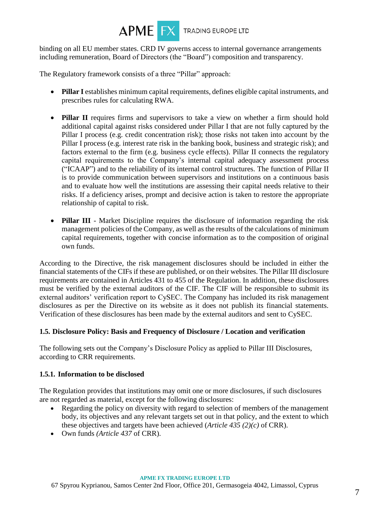

binding on all EU member states. CRD IV governs access to internal governance arrangements including remuneration, Board of Directors (the "Board") composition and transparency.

The Regulatory framework consists of a three "Pillar" approach:

- **Pillar I** establishes minimum capital requirements, defines eligible capital instruments, and prescribes rules for calculating RWA.
- **Pillar II** requires firms and supervisors to take a view on whether a firm should hold additional capital against risks considered under Pillar I that are not fully captured by the Pillar I process (e.g. credit concentration risk); those risks not taken into account by the Pillar I process (e.g. interest rate risk in the banking book, business and strategic risk); and factors external to the firm (e.g. business cycle effects). Pillar II connects the regulatory capital requirements to the Company's internal capital adequacy assessment process ("ICAAP") and to the reliability of its internal control structures. The function of Pillar II is to provide communication between supervisors and institutions on a continuous basis and to evaluate how well the institutions are assessing their capital needs relative to their risks. If a deficiency arises, prompt and decisive action is taken to restore the appropriate relationship of capital to risk.
- **Pillar III** Market Discipline requires the disclosure of information regarding the risk management policies of the Company, as well as the results of the calculations of minimum capital requirements, together with concise information as to the composition of original own funds.

According to the Directive, the risk management disclosures should be included in either the financial statements of the CIFs if these are published, or on their websites. The Pillar III disclosure requirements are contained in Articles 431 to 455 of the Regulation. In addition, these disclosures must be verified by the external auditors of the CIF. The CIF will be responsible to submit its external auditors' verification report to CySEC. The Company has included its risk management disclosures as per the Directive on its website as it does not publish its financial statements. Verification of these disclosures has been made by the external auditors and sent to CySEC.

### **1.5. Disclosure Policy: Basis and Frequency of Disclosure / Location and verification**

The following sets out the Company's Disclosure Policy as applied to Pillar III Disclosures, according to CRR requirements.

### **1.5.1. Information to be disclosed**

The Regulation provides that institutions may omit one or more disclosures, if such disclosures are not regarded as material, except for the following disclosures:

- Regarding the policy on diversity with regard to selection of members of the management body, its objectives and any relevant targets set out in that policy, and the extent to which these objectives and targets have been achieved (*Article 435 (2)(c)* of CRR).
- Own funds *(Article 437* of CRR).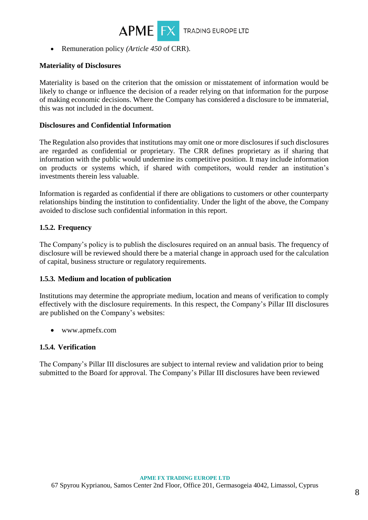

• Remuneration policy *(Article 450* of CRR).

### **Materiality of Disclosures**

Materiality is based on the criterion that the omission or misstatement of information would be likely to change or influence the decision of a reader relying on that information for the purpose of making economic decisions. Where the Company has considered a disclosure to be immaterial, this was not included in the document.

### **Disclosures and Confidential Information**

The Regulation also provides that institutions may omit one or more disclosures if such disclosures are regarded as confidential or proprietary. The CRR defines proprietary as if sharing that information with the public would undermine its competitive position. It may include information on products or systems which, if shared with competitors, would render an institution's investments therein less valuable.

Information is regarded as confidential if there are obligations to customers or other counterparty relationships binding the institution to confidentiality. Under the light of the above, the Company avoided to disclose such confidential information in this report.

### **1.5.2. Frequency**

The Company's policy is to publish the disclosures required on an annual basis. The frequency of disclosure will be reviewed should there be a material change in approach used for the calculation of capital, business structure or regulatory requirements.

#### **1.5.3. Medium and location of publication**

Institutions may determine the appropriate medium, location and means of verification to comply effectively with the disclosure requirements. In this respect, the Company's Pillar III disclosures are published on the Company's websites:

• www.apmefx.com

#### **1.5.4. Verification**

The Company's Pillar III disclosures are subject to internal review and validation prior to being submitted to the Board for approval. The Company's Pillar III disclosures have been reviewed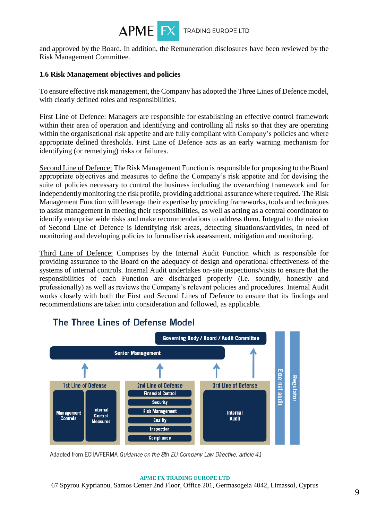

and approved by the Board. In addition, the Remuneration disclosures have been reviewed by the Risk Management Committee.

### **1.6 Risk Management objectives and policies**

To ensure effective risk management, the Company has adopted the Three Lines of Defence model, with clearly defined roles and responsibilities.

First Line of Defence: Managers are responsible for establishing an effective control framework within their area of operation and identifying and controlling all risks so that they are operating within the organisational risk appetite and are fully compliant with Company's policies and where appropriate defined thresholds. First Line of Defence acts as an early warning mechanism for identifying (or remedying) risks or failures.

Second Line of Defence: The Risk Management Function is responsible for proposing to the Board appropriate objectives and measures to define the Company's risk appetite and for devising the suite of policies necessary to control the business including the overarching framework and for independently monitoring the risk profile, providing additional assurance where required. The Risk Management Function will leverage their expertise by providing frameworks, tools and techniques to assist management in meeting their responsibilities, as well as acting as a central coordinator to identify enterprise wide risks and make recommendations to address them. Integral to the mission of Second Line of Defence is identifying risk areas, detecting situations/activities, in need of monitoring and developing policies to formalise risk assessment, mitigation and monitoring.

Third Line of Defence: Comprises by the Internal Audit Function which is responsible for providing assurance to the Board on the adequacy of design and operational effectiveness of the systems of internal controls. Internal Audit undertakes on-site inspections/visits to ensure that the responsibilities of each Function are discharged properly (i.e. soundly, honestly and professionally) as well as reviews the Company's relevant policies and procedures. Internal Audit works closely with both the First and Second Lines of Defence to ensure that its findings and recommendations are taken into consideration and followed, as applicable.



# The Three Lines of Defense Model

Adapted from ECIIA/FERMA Guidance on the 8th EU Company Law Directive, article 41

#### **APME FX TRADING EUROPE LTD**  67 Spyrou Kyprianou, Samos Center 2nd Floor, Office 201, Germasogeia 4042, Limassol, Cyprus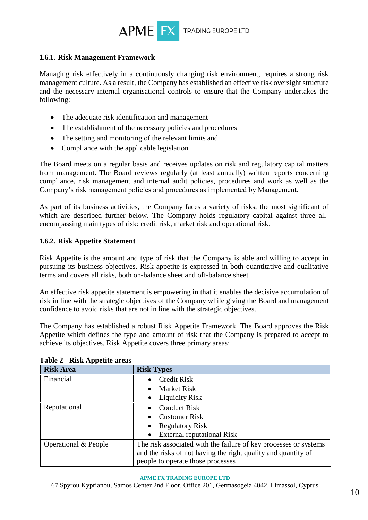

#### **1.6.1. Risk Management Framework**

Managing risk effectively in a continuously changing risk environment, requires a strong risk management culture. As a result, the Company has established an effective risk oversight structure and the necessary internal organisational controls to ensure that the Company undertakes the following:

- The adequate risk identification and management
- The establishment of the necessary policies and procedures
- The setting and monitoring of the relevant limits and
- Compliance with the applicable legislation

The Board meets on a regular basis and receives updates on risk and regulatory capital matters from management. The Board reviews regularly (at least annually) written reports concerning compliance, risk management and internal audit policies, procedures and work as well as the Company's risk management policies and procedures as implemented by Management.

As part of its business activities, the Company faces a variety of risks, the most significant of which are described further below. The Company holds regulatory capital against three allencompassing main types of risk: credit risk, market risk and operational risk.

### **1.6.2. Risk Appetite Statement**

Risk Appetite is the amount and type of risk that the Company is able and willing to accept in pursuing its business objectives. Risk appetite is expressed in both quantitative and qualitative terms and covers all risks, both on-balance sheet and off-balance sheet.

An effective risk appetite statement is empowering in that it enables the decisive accumulation of risk in line with the strategic objectives of the Company while giving the Board and management confidence to avoid risks that are not in line with the strategic objectives.

The Company has established a robust Risk Appetite Framework. The Board approves the Risk Appetite which defines the type and amount of risk that the Company is prepared to accept to achieve its objectives. Risk Appetite covers three primary areas:

| r r<br><b>Risk Area</b> | <b>Risk Types</b>                                                |
|-------------------------|------------------------------------------------------------------|
| Financial               | <b>Credit Risk</b>                                               |
|                         | <b>Market Risk</b>                                               |
|                         | <b>Liquidity Risk</b><br>$\bullet$                               |
| Reputational            | <b>Conduct Risk</b>                                              |
|                         | <b>Customer Risk</b>                                             |
|                         | <b>Regulatory Risk</b>                                           |
|                         | <b>External reputational Risk</b>                                |
| Operational & People    | The risk associated with the failure of key processes or systems |
|                         | and the risks of not having the right quality and quantity of    |
|                         | people to operate those processes                                |

**Table 2 - Risk Appetite areas**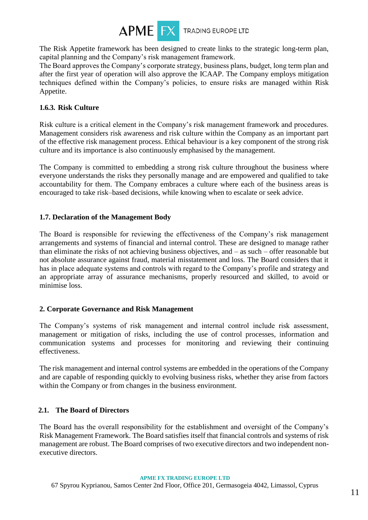

The Risk Appetite framework has been designed to create links to the strategic long-term plan, capital planning and the Company's risk management framework.

The Board approves the Company's corporate strategy, business plans, budget, long term plan and after the first year of operation will also approve the ICAAP. The Company employs mitigation techniques defined within the Company's policies, to ensure risks are managed within Risk Appetite.

### **1.6.3. Risk Culture**

Risk culture is a critical element in the Company's risk management framework and procedures. Management considers risk awareness and risk culture within the Company as an important part of the effective risk management process. Ethical behaviour is a key component of the strong risk culture and its importance is also continuously emphasised by the management.

The Company is committed to embedding a strong risk culture throughout the business where everyone understands the risks they personally manage and are empowered and qualified to take accountability for them. The Company embraces a culture where each of the business areas is encouraged to take risk–based decisions, while knowing when to escalate or seek advice.

### **1.7. Declaration of the Management Body**

The Board is responsible for reviewing the effectiveness of the Company's risk management arrangements and systems of financial and internal control. These are designed to manage rather than eliminate the risks of not achieving business objectives, and – as such – offer reasonable but not absolute assurance against fraud, material misstatement and loss. The Board considers that it has in place adequate systems and controls with regard to the Company's profile and strategy and an appropriate array of assurance mechanisms, properly resourced and skilled, to avoid or minimise loss.

### **2. Corporate Governance and Risk Management**

The Company's systems of risk management and internal control include risk assessment, management or mitigation of risks, including the use of control processes, information and communication systems and processes for monitoring and reviewing their continuing effectiveness.

The risk management and internal control systems are embedded in the operations of the Company and are capable of responding quickly to evolving business risks, whether they arise from factors within the Company or from changes in the business environment.

### **2.1. The Board of Directors**

The Board has the overall responsibility for the establishment and oversight of the Company's Risk Management Framework. The Board satisfies itself that financial controls and systems of risk management are robust. The Board comprises of two executive directors and two independent nonexecutive directors.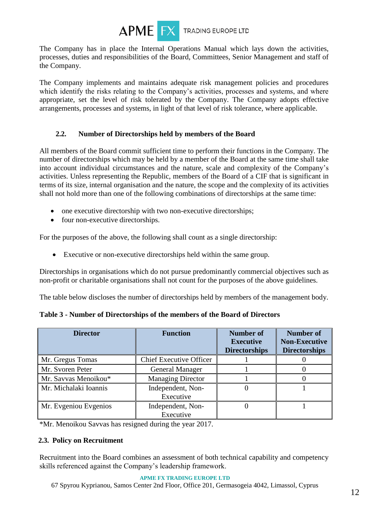

The Company has in place the Internal Operations Manual which lays down the activities, processes, duties and responsibilities of the Board, Committees, Senior Management and staff of the Company.

The Company implements and maintains adequate risk management policies and procedures which identify the risks relating to the Company's activities, processes and systems, and where appropriate, set the level of risk tolerated by the Company. The Company adopts effective arrangements, processes and systems, in light of that level of risk tolerance, where applicable.

### **2.2. Number of Directorships held by members of the Board**

All members of the Board commit sufficient time to perform their functions in the Company. The number of directorships which may be held by a member of the Board at the same time shall take into account individual circumstances and the nature, scale and complexity of the Company's activities. Unless representing the Republic, members of the Board of a CIF that is significant in terms of its size, internal organisation and the nature, the scope and the complexity of its activities shall not hold more than one of the following combinations of directorships at the same time:

- one executive directorship with two non-executive directorships;
- four non-executive directorships.

For the purposes of the above, the following shall count as a single directorship:

• Executive or non-executive directorships held within the same group.

Directorships in organisations which do not pursue predominantly commercial objectives such as non-profit or charitable organisations shall not count for the purposes of the above guidelines.

The table below discloses the number of directorships held by members of the management body.

| <b>Director</b>       | <b>Function</b>                | Number of<br><b>Executive</b><br><b>Directorships</b> | <b>Number of</b><br><b>Non-Executive</b><br><b>Directorships</b> |
|-----------------------|--------------------------------|-------------------------------------------------------|------------------------------------------------------------------|
| Mr. Gregus Tomas      | <b>Chief Executive Officer</b> |                                                       |                                                                  |
| Mr. Svoren Peter      | <b>General Manager</b>         |                                                       |                                                                  |
| Mr. Savvas Menoikou*  | <b>Managing Director</b>       |                                                       |                                                                  |
| Mr. Michalaki Ioannis | Independent, Non-<br>Executive |                                                       |                                                                  |
| Mr. Evgeniou Evgenios | Independent, Non-<br>Executive |                                                       |                                                                  |

| Table 3 - Number of Directorships of the members of the Board of Directors |  |  |  |  |
|----------------------------------------------------------------------------|--|--|--|--|
|----------------------------------------------------------------------------|--|--|--|--|

\*Mr. Menoikou Savvas has resigned during the year 2017.

### **2.3. Policy on Recruitment**

Recruitment into the Board combines an assessment of both technical capability and competency skills referenced against the Company's leadership framework.

#### **APME FX TRADING EUROPE LTD**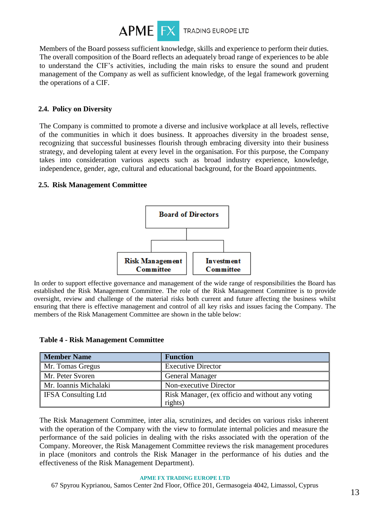

Members of the Board possess sufficient knowledge, skills and experience to perform their duties. The overall composition of the Board reflects an adequately broad range of experiences to be able to understand the CIF's activities, including the main risks to ensure the sound and prudent management of the Company as well as sufficient knowledge, of the legal framework governing the operations of a CIF.

### **2.4. Policy on Diversity**

The Company is committed to promote a diverse and inclusive workplace at all levels, reflective of the communities in which it does business. It approaches diversity in the broadest sense, recognizing that successful businesses flourish through embracing diversity into their business strategy, and developing talent at every level in the organisation. For this purpose, the Company takes into consideration various aspects such as broad industry experience, knowledge, independence, gender, age, cultural and educational background, for the Board appointments.

### **2.5. Risk Management Committee**



In order to support effective governance and management of the wide range of responsibilities the Board has established the Risk Management Committee. The role of the Risk Management Committee is to provide oversight, review and challenge of the material risks both current and future affecting the business whilst ensuring that there is effective management and control of all key risks and issues facing the Company. The members of the Risk Management Committee are shown in the table below:

|  |  | <b>Table 4 - Risk Management Committee</b> |  |
|--|--|--------------------------------------------|--|
|--|--|--------------------------------------------|--|

| <b>Member Name</b>         | <b>Function</b>                                  |
|----------------------------|--------------------------------------------------|
| Mr. Tomas Gregus           | <b>Executive Director</b>                        |
| Mr. Peter Svoren           | <b>General Manager</b>                           |
| Mr. Ioannis Michalaki      | Non-executive Director                           |
| <b>IFSA Consulting Ltd</b> | Risk Manager, (ex officio and without any voting |
|                            | rights)                                          |

The Risk Management Committee, inter alia, scrutinizes, and decides on various risks inherent with the operation of the Company with the view to formulate internal policies and measure the performance of the said policies in dealing with the risks associated with the operation of the Company. Moreover, the Risk Management Committee reviews the risk management procedures in place (monitors and controls the Risk Manager in the performance of his duties and the effectiveness of the Risk Management Department).

#### **APME FX TRADING EUROPE LTD**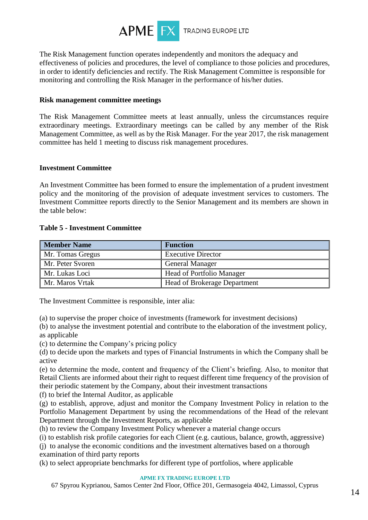

The Risk Management function operates independently and monitors the adequacy and effectiveness of policies and procedures, the level of compliance to those policies and procedures, in order to identify deficiencies and rectify. The Risk Management Committee is responsible for monitoring and controlling the Risk Manager in the performance of his/her duties.

#### **Risk management committee meetings**

The Risk Management Committee meets at least annually, unless the circumstances require extraordinary meetings. Extraordinary meetings can be called by any member of the Risk Management Committee, as well as by the Risk Manager. For the year 2017, the risk management committee has held 1 meeting to discuss risk management procedures.

#### **Investment Committee**

An Investment Committee has been formed to ensure the implementation of a prudent investment policy and the monitoring of the provision of adequate investment services to customers. The Investment Committee reports directly to the Senior Management and its members are shown in the table below:

#### **Table 5 - Investment Committee**

| <b>Member Name</b> | <b>Function</b>                     |
|--------------------|-------------------------------------|
| Mr. Tomas Gregus   | <b>Executive Director</b>           |
| Mr. Peter Svoren   | <b>General Manager</b>              |
| Mr. Lukas Loci     | <b>Head of Portfolio Manager</b>    |
| Mr. Maros Vrtak    | <b>Head of Brokerage Department</b> |

The Investment Committee is responsible, inter alia:

(a) to supervise the proper choice of investments (framework for investment decisions)

(b) to analyse the investment potential and contribute to the elaboration of the investment policy, as applicable

(c) to determine the Company's pricing policy

(d) to decide upon the markets and types of Financial Instruments in which the Company shall be active

(e) to determine the mode, content and frequency of the Client's briefing. Also, to monitor that Retail Clients are informed about their right to request different time frequency of the provision of their periodic statement by the Company, about their investment transactions

(f) to brief the Internal Auditor, as applicable

(g) to establish, approve, adjust and monitor the Company Investment Policy in relation to the Portfolio Management Department by using the recommendations of the Head of the relevant Department through the Investment Reports, as applicable

(h) to review the Company Investment Policy whenever a material change occurs

(i) to establish risk profile categories for each Client (e.g. cautious, balance, growth, aggressive)

(j) to analyse the economic conditions and the investment alternatives based on a thorough examination of third party reports

(k) to select appropriate benchmarks for different type of portfolios, where applicable

#### **APME FX TRADING EUROPE LTD**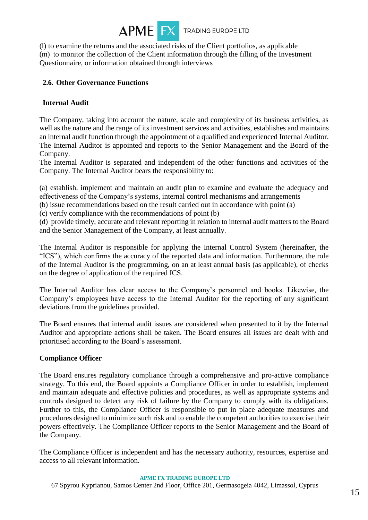

(l) to examine the returns and the associated risks of the Client portfolios, as applicable (m) to monitor the collection of the Client information through the filling of the Investment Questionnaire, or information obtained through interviews

### **2.6. Other Governance Functions**

### **Internal Audit**

The Company, taking into account the nature, scale and complexity of its business activities, as well as the nature and the range of its investment services and activities, establishes and maintains an internal audit function through the appointment of a qualified and experienced Internal Auditor. The Internal Auditor is appointed and reports to the Senior Management and the Board of the Company.

The Internal Auditor is separated and independent of the other functions and activities of the Company. The Internal Auditor bears the responsibility to:

(a) establish, implement and maintain an audit plan to examine and evaluate the adequacy and effectiveness of the Company's systems, internal control mechanisms and arrangements

(b) issue recommendations based on the result carried out in accordance with point (a)

(c) verify compliance with the recommendations of point (b)

(d) provide timely, accurate and relevant reporting in relation to internal audit matters to the Board and the Senior Management of the Company, at least annually.

The Internal Auditor is responsible for applying the Internal Control System (hereinafter, the "ICS"), which confirms the accuracy of the reported data and information. Furthermore, the role of the Internal Auditor is the programming, on an at least annual basis (as applicable), of checks on the degree of application of the required ICS.

The Internal Auditor has clear access to the Company's personnel and books. Likewise, the Company's employees have access to the Internal Auditor for the reporting of any significant deviations from the guidelines provided.

The Board ensures that internal audit issues are considered when presented to it by the Internal Auditor and appropriate actions shall be taken. The Board ensures all issues are dealt with and prioritised according to the Board's assessment.

### **Compliance Officer**

The Board ensures regulatory compliance through a comprehensive and pro-active compliance strategy. To this end, the Board appoints a Compliance Officer in order to establish, implement and maintain adequate and effective policies and procedures, as well as appropriate systems and controls designed to detect any risk of failure by the Company to comply with its obligations. Further to this, the Compliance Officer is responsible to put in place adequate measures and procedures designed to minimize such risk and to enable the competent authorities to exercise their powers effectively. The Compliance Officer reports to the Senior Management and the Board of the Company.

The Compliance Officer is independent and has the necessary authority, resources, expertise and access to all relevant information.

#### **APME FX TRADING EUROPE LTD**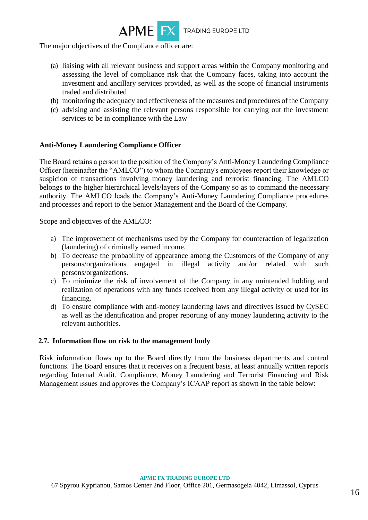

The major objectives of the Compliance officer are:

- (a) liaising with all relevant business and support areas within the Company monitoring and assessing the level of compliance risk that the Company faces, taking into account the investment and ancillary services provided, as well as the scope of financial instruments traded and distributed
- (b) monitoring the adequacy and effectiveness of the measures and procedures of the Company
- (c) advising and assisting the relevant persons responsible for carrying out the investment services to be in compliance with the Law

### **Anti-Money Laundering Compliance Officer**

The Board retains a person to the position of the Company's Anti-Money Laundering Compliance Officer (hereinafter the "AMLCO") to whom the Company's employees report their knowledge or suspicion of transactions involving money laundering and terrorist financing. The AMLCO belongs to the higher hierarchical levels/layers of the Company so as to command the necessary authority. The AMLCO leads the Company's Anti-Money Laundering Compliance procedures and processes and report to the Senior Management and the Board of the Company.

Scope and objectives of the AMLCO:

- a) The improvement of mechanisms used by the Company for counteraction of legalization (laundering) of criminally earned income.
- b) To decrease the probability of appearance among the Customers of the Company of any persons/organizations engaged in illegal activity and/or related with such persons/organizations.
- c) To minimize the risk of involvement of the Company in any unintended holding and realization of operations with any funds received from any illegal activity or used for its financing.
- d) To ensure compliance with anti-money laundering laws and directives issued by CySEC as well as the identification and proper reporting of any money laundering activity to the relevant authorities.

#### **2.7. Information flow on risk to the management body**

Risk information flows up to the Board directly from the business departments and control functions. The Board ensures that it receives on a frequent basis, at least annually written reports regarding Internal Audit, Compliance, Money Laundering and Terrorist Financing and Risk Management issues and approves the Company's ICAAP report as shown in the table below: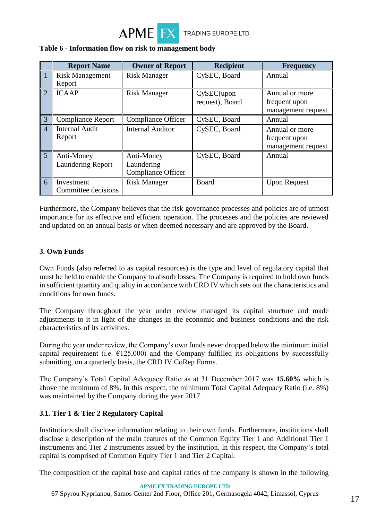

|                | <b>Report Name</b>       | <b>Owner of Report</b>    | <b>Recipient</b> | <b>Frequency</b>    |
|----------------|--------------------------|---------------------------|------------------|---------------------|
|                | <b>Risk Management</b>   | <b>Risk Manager</b>       | CySEC, Board     | Annual              |
|                | Report                   |                           |                  |                     |
| $\overline{2}$ | <b>ICAAP</b>             | <b>Risk Manager</b>       | $CySEC$ (upon    | Annual or more      |
|                |                          |                           | request), Board  | frequent upon       |
|                |                          |                           |                  | management request  |
| 3              | <b>Compliance Report</b> | Compliance Officer        | CySEC, Board     | Annual              |
| $\overline{4}$ | <b>Internal Audit</b>    | <b>Internal Auditor</b>   | CySEC, Board     | Annual or more      |
|                | Report                   |                           |                  | frequent upon       |
|                |                          |                           |                  | management request  |
| 5              | Anti-Money               | Anti-Money                | CySEC, Board     | Annual              |
|                | <b>Laundering Report</b> | Laundering                |                  |                     |
|                |                          | <b>Compliance Officer</b> |                  |                     |
| 6              | Investment               | <b>Risk Manager</b>       | Board            | <b>Upon Request</b> |
|                | Committee decisions      |                           |                  |                     |

### **Table 6 - Information flow on risk to management body**

Furthermore, the Company believes that the risk governance processes and policies are of utmost importance for its effective and efficient operation. The processes and the policies are reviewed and updated on an annual basis or when deemed necessary and are approved by the Board.

### **3. Own Funds**

Own Funds (also referred to as capital resources) is the type and level of regulatory capital that must be held to enable the Company to absorb losses. The Company is required to hold own funds in sufficient quantity and quality in accordance with CRD IV which sets out the characteristics and conditions for own funds.

The Company throughout the year under review managed its capital structure and made adjustments to it in light of the changes in the economic and business conditions and the risk characteristics of its activities.

During the year under review, the Company's own funds never dropped below the minimum initial capital requirement (i.e.  $E$ 125,000) and the Company fulfilled its obligations by successfully submitting, on a quarterly basis, the CRD IV CoRep Forms.

The Company's Total Capital Adequacy Ratio as at 31 December 2017 was **15.60%** which is above the minimum of 8%**.** In this respect, the minimum Total Capital Adequacy Ratio (i.e. 8%) was maintained by the Company during the year 2017.

### **3.1. Tier 1 & Tier 2 Regulatory Capital**

Institutions shall disclose information relating to their own funds. Furthermore, institutions shall disclose a description of the main features of the Common Equity Tier 1 and Additional Tier 1 instruments and Tier 2 instruments issued by the institution. In this respect, the Company's total capital is comprised of Common Equity Tier 1 and Tier 2 Capital.

The composition of the capital base and capital ratios of the company is shown in the following

#### **APME FX TRADING EUROPE LTD**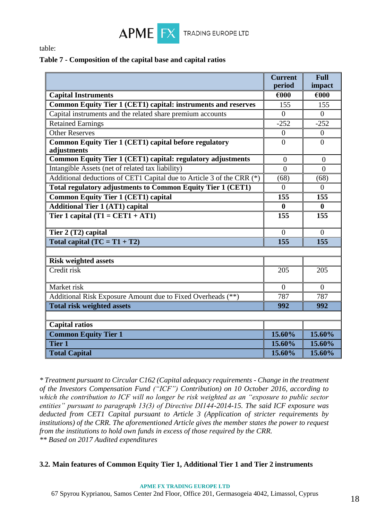

table:

### **Table 7 - Composition of the capital base and capital ratios**

|                                                                             | <b>Current</b><br>period | <b>Full</b><br>impact |
|-----------------------------------------------------------------------------|--------------------------|-----------------------|
| <b>Capital Instruments</b>                                                  | €000                     | €000                  |
| <b>Common Equity Tier 1 (CET1) capital: instruments and reserves</b>        | 155                      | 155                   |
| Capital instruments and the related share premium accounts                  | $\overline{0}$           | $\theta$              |
| <b>Retained Earnings</b>                                                    | $-252$                   | $-252$                |
| <b>Other Reserves</b>                                                       | $\overline{0}$           | $\overline{0}$        |
| <b>Common Equity Tier 1 (CET1) capital before regulatory</b><br>adjustments | $\overline{0}$           | $\theta$              |
| <b>Common Equity Tier 1 (CET1) capital: regulatory adjustments</b>          | $\overline{0}$           | $\overline{0}$        |
| Intangible Assets (net of related tax liability)                            | $\Omega$                 | $\theta$              |
| Additional deductions of CET1 Capital due to Article 3 of the CRR (*)       | (68)                     | (68)                  |
| <b>Total regulatory adjustments to Common Equity Tier 1 (CET1)</b>          | $\Omega$                 | $\theta$              |
| <b>Common Equity Tier 1 (CET1) capital</b>                                  | 155                      | 155                   |
| <b>Additional Tier 1 (AT1) capital</b>                                      | $\bf{0}$                 | $\bf{0}$              |
| Tier 1 capital $(T1 = CET1 + AT1)$                                          | 155                      | 155                   |
| Tier 2 (T2) capital                                                         | $\theta$                 | $\theta$              |
| Total capital $(TC = T1 + T2)$                                              | $\overline{155}$         | $\overline{155}$      |
| <b>Risk weighted assets</b>                                                 |                          |                       |
| Credit risk                                                                 | 205                      | 205                   |
| Market risk                                                                 | $\overline{0}$           | $\overline{0}$        |
| Additional Risk Exposure Amount due to Fixed Overheads (**)                 | 787                      | 787                   |
| <b>Total risk weighted assets</b>                                           | 992                      | 992                   |
|                                                                             |                          |                       |
| <b>Capital ratios</b>                                                       |                          |                       |
| <b>Common Equity Tier 1</b>                                                 | 15.60%                   | 15.60%                |
| <b>Tier 1</b>                                                               | 15.60%                   | 15.60%                |
| <b>Total Capital</b>                                                        | 15.60%                   | 15.60%                |

*\* Treatment pursuant to Circular C162 (Capital adequacy requirements - Change in the treatment of the Investors Compensation Fund ("ICF") Contribution) on 10 October 2016, according to which the contribution to ICF will no longer be risk weighted as an "exposure to public sector entities" pursuant to paragraph 13(3) of Directive DI144-2014-15. The said ICF exposure was deducted from CET1 Capital pursuant to Article 3 (Application of stricter requirements by institutions) of the CRR. The aforementioned Article gives the member states the power to request from the institutions to hold own funds in excess of those required by the CRR. \*\* Based on 2017 Audited expenditures*

### **3.2. Main features of Common Equity Tier 1, Additional Tier 1 and Tier 2 instruments**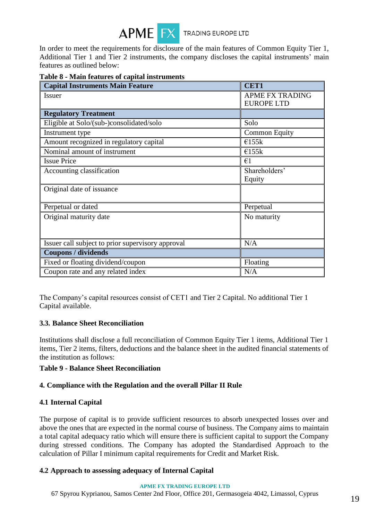

In order to meet the requirements for disclosure of the main features of Common Equity Tier 1, Additional Tier 1 and Tier 2 instruments, the company discloses the capital instruments' main features as outlined below:

| <b>Capital Instruments Main Feature</b>           | <b>CET1</b>                                 |
|---------------------------------------------------|---------------------------------------------|
| <i>Issuer</i>                                     | <b>APME FX TRADING</b><br><b>EUROPE LTD</b> |
| <b>Regulatory Treatment</b>                       |                                             |
| Eligible at Solo/(sub-)consolidated/solo          | Solo                                        |
| Instrument type                                   | <b>Common Equity</b>                        |
| Amount recognized in regulatory capital           | €155 $k$                                    |
| Nominal amount of instrument                      | €155 $k$                                    |
| <b>Issue Price</b>                                | $\epsilon$ 1                                |
| Accounting classification                         | Shareholders'<br>Equity                     |
| Original date of issuance                         |                                             |
| Perpetual or dated                                | Perpetual                                   |
| Original maturity date                            | No maturity                                 |
| Issuer call subject to prior supervisory approval | N/A                                         |
| <b>Coupons / dividends</b>                        |                                             |
| Fixed or floating dividend/coupon                 | Floating                                    |
| Coupon rate and any related index                 | N/A                                         |

#### **Table 8 - Main features of capital instruments**

The Company's capital resources consist of CET1 and Tier 2 Capital. No additional Tier 1 Capital available.

#### **3.3. Balance Sheet Reconciliation**

Institutions shall disclose a full reconciliation of Common Equity Tier 1 items, Additional Tier 1 items, Tier 2 items, filters, deductions and the balance sheet in the audited financial statements of the institution as follows:

#### **Table 9 - Balance Sheet Reconciliation**

### **4. Compliance with the Regulation and the overall Pillar II Rule**

### **4.1 Internal Capital**

The purpose of capital is to provide sufficient resources to absorb unexpected losses over and above the ones that are expected in the normal course of business. The Company aims to maintain a total capital adequacy ratio which will ensure there is sufficient capital to support the Company during stressed conditions. The Company has adopted the Standardised Approach to the calculation of Pillar I minimum capital requirements for Credit and Market Risk.

### **4.2 Approach to assessing adequacy of Internal Capital**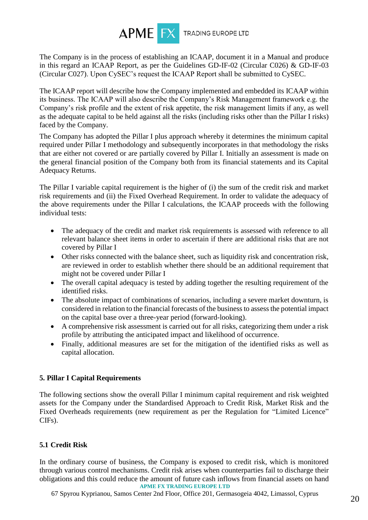

The Company is in the process of establishing an ICAAP, document it in a Manual and produce in this regard an ICAAP Report, as per the Guidelines GD-IF-02 (Circular C026) & GD-IF-03 (Circular C027). Upon CySEC's request the ICAAP Report shall be submitted to CySEC.

The ICAAP report will describe how the Company implemented and embedded its ICAAP within its business. The ICAAP will also describe the Company's Risk Management framework e.g. the Company's risk profile and the extent of risk appetite, the risk management limits if any, as well as the adequate capital to be held against all the risks (including risks other than the Pillar I risks) faced by the Company.

The Company has adopted the Pillar I plus approach whereby it determines the minimum capital required under Pillar I methodology and subsequently incorporates in that methodology the risks that are either not covered or are partially covered by Pillar I. Initially an assessment is made on the general financial position of the Company both from its financial statements and its Capital Adequacy Returns.

The Pillar I variable capital requirement is the higher of (i) the sum of the credit risk and market risk requirements and (ii) the Fixed Overhead Requirement. In order to validate the adequacy of the above requirements under the Pillar I calculations, the ICAAP proceeds with the following individual tests:

- The adequacy of the credit and market risk requirements is assessed with reference to all relevant balance sheet items in order to ascertain if there are additional risks that are not covered by Pillar I
- Other risks connected with the balance sheet, such as liquidity risk and concentration risk, are reviewed in order to establish whether there should be an additional requirement that might not be covered under Pillar I
- The overall capital adequacy is tested by adding together the resulting requirement of the identified risks.
- The absolute impact of combinations of scenarios, including a severe market downturn, is considered in relation to the financial forecasts of the business to assess the potential impact on the capital base over a three-year period (forward-looking).
- A comprehensive risk assessment is carried out for all risks, categorizing them under a risk profile by attributing the anticipated impact and likelihood of occurrence.
- Finally, additional measures are set for the mitigation of the identified risks as well as capital allocation.

# **5. Pillar I Capital Requirements**

The following sections show the overall Pillar I minimum capital requirement and risk weighted assets for the Company under the Standardised Approach to Credit Risk, Market Risk and the Fixed Overheads requirements (new requirement as per the Regulation for "Limited Licence" CIFs).

# **5.1 Credit Risk**

**APME FX TRADING EUROPE LTD**  In the ordinary course of business, the Company is exposed to credit risk, which is monitored through various control mechanisms. Credit risk arises when counterparties fail to discharge their obligations and this could reduce the amount of future cash inflows from financial assets on hand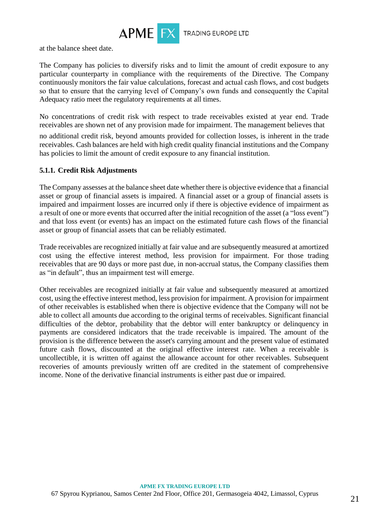

at the balance sheet date.

The Company has policies to diversify risks and to limit the amount of credit exposure to any particular counterparty in compliance with the requirements of the Directive. The Company continuously monitors the fair value calculations, forecast and actual cash flows, and cost budgets so that to ensure that the carrying level of Company's own funds and consequently the Capital Adequacy ratio meet the regulatory requirements at all times.

No concentrations of credit risk with respect to trade receivables existed at year end. Trade receivables are shown net of any provision made for impairment. The management believes that

no additional credit risk, beyond amounts provided for collection losses, is inherent in the trade receivables. Cash balances are held with high credit quality financial institutions and the Company has policies to limit the amount of credit exposure to any financial institution.

### **5.1.1. Credit Risk Adjustments**

The Company assesses at the balance sheet date whether there is objective evidence that a financial asset or group of financial assets is impaired. A financial asset or a group of financial assets is impaired and impairment losses are incurred only if there is objective evidence of impairment as a result of one or more events that occurred after the initial recognition of the asset (a "loss event") and that loss event (or events) has an impact on the estimated future cash flows of the financial asset or group of financial assets that can be reliably estimated.

Trade receivables are recognized initially at fair value and are subsequently measured at amortized cost using the effective interest method, less provision for impairment. For those trading receivables that are 90 days or more past due, in non-accrual status, the Company classifies them as "in default", thus an impairment test will emerge.

Other receivables are recognized initially at fair value and subsequently measured at amortized cost, using the effective interest method, less provision for impairment. A provision for impairment of other receivables is established when there is objective evidence that the Company will not be able to collect all amounts due according to the original terms of receivables. Significant financial difficulties of the debtor, probability that the debtor will enter bankruptcy or delinquency in payments are considered indicators that the trade receivable is impaired. The amount of the provision is the difference between the asset's carrying amount and the present value of estimated future cash flows, discounted at the original effective interest rate. When a receivable is uncollectible, it is written off against the allowance account for other receivables. Subsequent recoveries of amounts previously written off are credited in the statement of comprehensive income. None of the derivative financial instruments is either past due or impaired.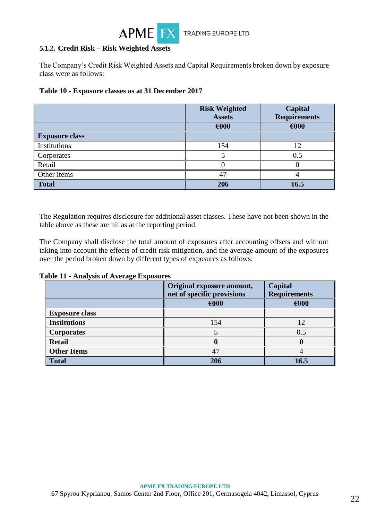

### **5.1.2. Credit Risk – Risk Weighted Assets**

The Company's Credit Risk Weighted Assets and Capital Requirements broken down by exposure class were as follows:

| Table 10 - Exposure classes as at 31 December 2017 |  |
|----------------------------------------------------|--|
|----------------------------------------------------|--|

|                       | <b>Risk Weighted</b><br><b>Assets</b> | Capital<br><b>Requirements</b> |
|-----------------------|---------------------------------------|--------------------------------|
|                       | €000                                  | €000                           |
| <b>Exposure class</b> |                                       |                                |
| Institutions          | 154                                   | 12                             |
| Corporates            |                                       | 0.5                            |
| Retail                |                                       |                                |
| Other Items           | 4                                     |                                |
| <b>Total</b>          | 206                                   | 16.5                           |

The Regulation requires disclosure for additional asset classes. These have not been shown in the table above as these are nil as at the reporting period.

The Company shall disclose the total amount of exposures after accounting offsets and without taking into account the effects of credit risk mitigation, and the average amount of the exposures over the period broken down by different types of exposures as follows:

**Table 11 - Analysis of Average Exposures**

|                       | Original exposure amount,<br>net of specific provisions | Capital<br><b>Requirements</b> |
|-----------------------|---------------------------------------------------------|--------------------------------|
|                       | $\epsilon$ 000                                          | €000                           |
| <b>Exposure class</b> |                                                         |                                |
| <b>Institutions</b>   | 154                                                     | 12                             |
| <b>Corporates</b>     |                                                         | 0.5                            |
| <b>Retail</b>         |                                                         |                                |
| <b>Other Items</b>    | 47                                                      |                                |
| <b>Total</b>          | 206                                                     | 16.5                           |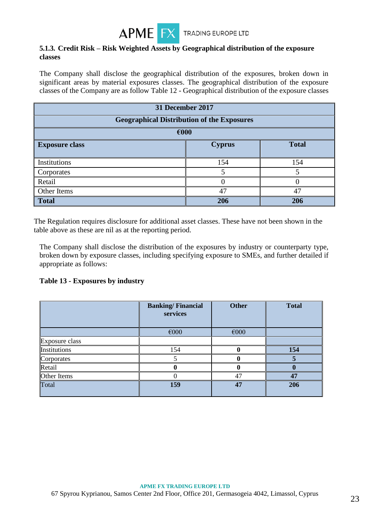

### **5.1.3. Credit Risk – Risk Weighted Assets by Geographical distribution of the exposure classes**

The Company shall disclose the geographical distribution of the exposures, broken down in significant areas by material exposures classes. The geographical distribution of the exposure classes of the Company are as follow Table 12 - Geographical distribution of the exposure classes

| 31 December 2017                                       |                                                   |     |  |  |  |  |
|--------------------------------------------------------|---------------------------------------------------|-----|--|--|--|--|
|                                                        | <b>Geographical Distribution of the Exposures</b> |     |  |  |  |  |
| €000                                                   |                                                   |     |  |  |  |  |
| <b>Total</b><br><b>Cyprus</b><br><b>Exposure class</b> |                                                   |     |  |  |  |  |
|                                                        |                                                   |     |  |  |  |  |
| Institutions                                           | 154                                               | 154 |  |  |  |  |
| Corporates                                             |                                                   |     |  |  |  |  |
| Retail                                                 |                                                   |     |  |  |  |  |
| Other Items<br>47<br>47                                |                                                   |     |  |  |  |  |
| <b>Total</b><br>206<br>206                             |                                                   |     |  |  |  |  |

The Regulation requires disclosure for additional asset classes. These have not been shown in the table above as these are nil as at the reporting period.

The Company shall disclose the distribution of the exposures by industry or counterparty type, broken down by exposure classes, including specifying exposure to SMEs, and further detailed if appropriate as follows:

#### **Table 13 - Exposures by industry**

|                | <b>Banking/Financial</b><br>services | <b>Other</b> | <b>Total</b> |
|----------------|--------------------------------------|--------------|--------------|
|                | €000                                 | €000         |              |
| Exposure class |                                      |              |              |
| Institutions   | 154                                  |              | 154          |
| Corporates     |                                      |              |              |
| Retail         |                                      |              |              |
| Other Items    |                                      | 47           | 47           |
| Total          | 159                                  | 47           | 206          |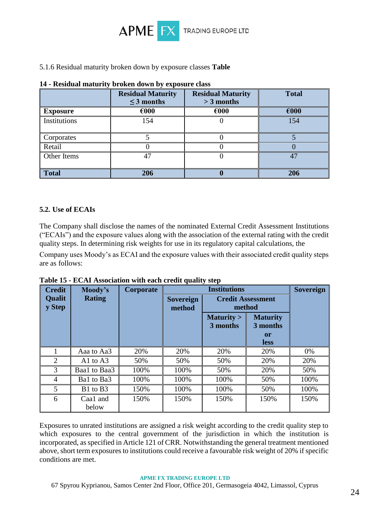

### 5.1.6 Residual maturity broken down by exposure classes **Table**

|                 | <b>Residual Maturity</b><br>$\leq$ 3 months | <b>Residual Maturity</b><br>$>$ 3 months | <b>Total</b>   |
|-----------------|---------------------------------------------|------------------------------------------|----------------|
| <b>Exposure</b> | $\epsilon$ 000                              | $\epsilon$ 000                           | $\epsilon$ 000 |
| Institutions    | 154                                         |                                          | 154            |
| Corporates      |                                             |                                          |                |
| Retail          |                                             |                                          |                |
| Other Items     | 47                                          |                                          |                |
| <b>Total</b>    | 206                                         |                                          | 206            |

# **14 - Residual maturity broken down by exposure class**

### **5.2. Use of ECAIs**

The Company shall disclose the names of the nominated External Credit Assessment Institutions ("ECAIs") and the exposure values along with the association of the external rating with the credit quality steps. In determining risk weights for use in its regulatory capital calculations, the

Company uses Moody's as ECAI and the exposure values with their associated credit quality steps are as follows:

| <b>Credit</b>           | Moody's           | Corporate | <b>Institutions</b>        |                                    |                                                         | <b>Sovereign</b> |
|-------------------------|-------------------|-----------|----------------------------|------------------------------------|---------------------------------------------------------|------------------|
| <b>Qualit</b><br>y Step | <b>Rating</b>     |           | <b>Sovereign</b><br>method | <b>Credit Assessment</b><br>method |                                                         |                  |
|                         |                   |           |                            | Maturity ><br>3 months             | <b>Maturity</b><br>3 months<br><b>or</b><br><b>less</b> |                  |
|                         | Aaa to Aa3        | 20%       | 20%                        | 20%                                | 20%                                                     | 0%               |
| 2                       | A1 to $A3$        | 50%       | 50%                        | 50%                                | 20%                                                     | 20%              |
| 3                       | Baa1 to Baa3      | 100%      | 100%                       | 50%                                | 20%                                                     | 50%              |
| 4                       | Ba1 to Ba3        | 100%      | 100%                       | 100%                               | 50%                                                     | 100%             |
| 5                       | B1 to B3          | 150%      | 100%                       | 100%                               | 50%                                                     | 100%             |
| 6                       | Caa1 and<br>below | 150%      | 150%                       | 150%                               | 150%                                                    | 150%             |

**Table 15 - ECAI Association with each credit quality step**

Exposures to unrated institutions are assigned a risk weight according to the credit quality step to which exposures to the central government of the jurisdiction in which the institution is incorporated, as specified in Article 121 of CRR. Notwithstanding the general treatment mentioned above, short term exposures to institutions could receive a favourable risk weight of 20% if specific conditions are met.

#### **APME FX TRADING EUROPE LTD**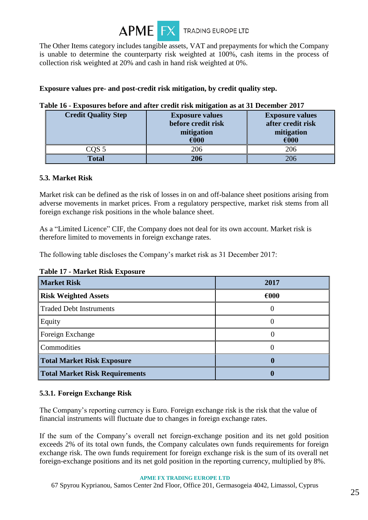

The Other Items category includes tangible assets, VAT and prepayments for which the Company is unable to determine the counterparty risk weighted at 100%, cash items in the process of collection risk weighted at 20% and cash in hand risk weighted at 0%.

### **Exposure values pre- and post-credit risk mitigation, by credit quality step.**

| <b>Credit Quality Step</b> | <b>Exposure values</b><br>before credit risk<br>mitigation<br>€000 | <b>Exposure values</b><br>after credit risk<br>mitigation<br>€000 |
|----------------------------|--------------------------------------------------------------------|-------------------------------------------------------------------|
| COS 5                      | 206                                                                | 206                                                               |
| <b>Total</b>               | 206                                                                | 206                                                               |

#### **Table 16 - Exposures before and after credit risk mitigation as at 31 December 2017**

### **5.3. Market Risk**

Market risk can be defined as the risk of losses in on and off-balance sheet positions arising from adverse movements in market prices. From a regulatory perspective, market risk stems from all foreign exchange risk positions in the whole balance sheet.

As a "Limited Licence" CIF, the Company does not deal for its own account. Market risk is therefore limited to movements in foreign exchange rates.

The following table discloses the Company's market risk as 31 December 2017:

| <b>Market Risk</b>             | 2017           |
|--------------------------------|----------------|
| <b>Risk Weighted Assets</b>    | $\epsilon$ 000 |
| Traded Debt Instruments        |                |
| Equity                         |                |
| Foreign Exchange               |                |
| Commodities                    |                |
| Total Market Risk Exposure     |                |
| Total Market Risk Requirements |                |

### **Table 17 - Market Risk Exposure**

# **5.3.1. Foreign Exchange Risk**

The Company's reporting currency is Euro. Foreign exchange risk is the risk that the value of financial instruments will fluctuate due to changes in foreign exchange rates.

If the sum of the Company's overall net foreign-exchange position and its net gold position exceeds 2% of its total own funds, the Company calculates own funds requirements for foreign exchange risk. The own funds requirement for foreign exchange risk is the sum of its overall net foreign-exchange positions and its net gold position in the reporting currency, multiplied by 8%.

#### **APME FX TRADING EUROPE LTD**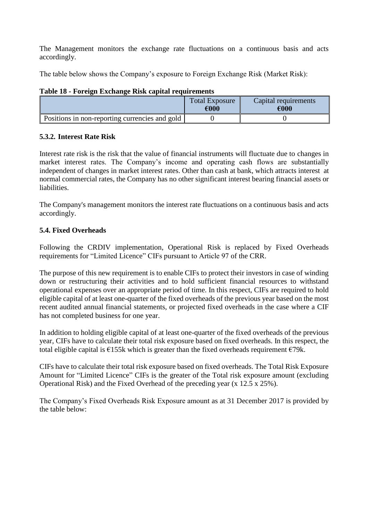The Management monitors the exchange rate fluctuations on a continuous basis and acts accordingly.

The table below shows the Company's exposure to Foreign Exchange Risk (Market Risk):

| Table To - Tol eight Eachange Risk capital Fequil chieflis |                               |                              |  |  |
|------------------------------------------------------------|-------------------------------|------------------------------|--|--|
|                                                            | <b>Total Exposure</b><br>€000 | Capital requirements<br>€000 |  |  |
| Positions in non-reporting currencies and gold             |                               |                              |  |  |

### **Table 18 - Foreign Exchange Risk capital requirements**

### **5.3.2. Interest Rate Risk**

Interest rate risk is the risk that the value of financial instruments will fluctuate due to changes in market interest rates. The Company's income and operating cash flows are substantially independent of changes in market interest rates. Other than cash at bank, which attracts interest at normal commercial rates, the Company has no other significant interest bearing financial assets or liabilities.

The Company's management monitors the interest rate fluctuations on a continuous basis and acts accordingly.

### **5.4. Fixed Overheads**

Following the CRDIV implementation, Operational Risk is replaced by Fixed Overheads requirements for "Limited Licence" CIFs pursuant to Article 97 of the CRR.

The purpose of this new requirement is to enable CIFs to protect their investors in case of winding down or restructuring their activities and to hold sufficient financial resources to withstand operational expenses over an appropriate period of time. In this respect, CIFs are required to hold eligible capital of at least one-quarter of the fixed overheads of the previous year based on the most recent audited annual financial statements, or projected fixed overheads in the case where a CIF has not completed business for one year.

In addition to holding eligible capital of at least one-quarter of the fixed overheads of the previous year, CIFs have to calculate their total risk exposure based on fixed overheads. In this respect, the total eligible capital is  $\epsilon$ 155k which is greater than the fixed overheads requirement  $\epsilon$ 79k.

CIFs have to calculate their total risk exposure based on fixed overheads. The Total Risk Exposure Amount for "Limited Licence" CIFs is the greater of the Total risk exposure amount (excluding Operational Risk) and the Fixed Overhead of the preceding year (x 12.5 x 25%).

The Company's Fixed Overheads Risk Exposure amount as at 31 December 2017 is provided by the table below: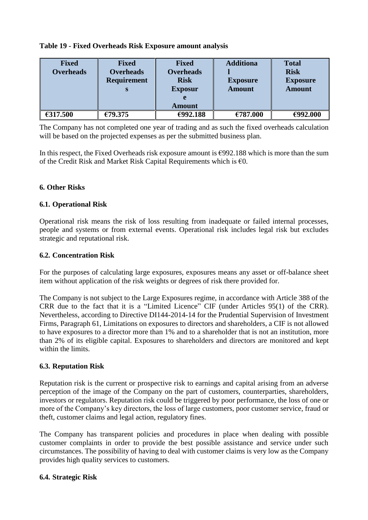|  | Table 19 - Fixed Overheads Risk Exposure amount analysis |
|--|----------------------------------------------------------|
|--|----------------------------------------------------------|

| <b>Fixed</b>     | <b>Fixed</b>       | <b>Fixed</b>     | <b>Additiona</b> | <b>Total</b>    |
|------------------|--------------------|------------------|------------------|-----------------|
| <b>Overheads</b> | <b>Overheads</b>   | <b>Overheads</b> |                  | <b>Risk</b>     |
|                  | <b>Requirement</b> | <b>Risk</b>      | <b>Exposure</b>  | <b>Exposure</b> |
|                  | S                  | <b>Exposur</b>   | <b>Amount</b>    | <b>Amount</b>   |
|                  |                    | e                |                  |                 |
|                  |                    | Amount           |                  |                 |
| €317.500         | €79.375            | €992.188         | €787.000         | €992.000        |

The Company has not completed one year of trading and as such the fixed overheads calculation will be based on the projected expenses as per the submitted business plan.

In this respect, the Fixed Overheads risk exposure amount is  $\epsilon$ 992.188 which is more than the sum of the Credit Risk and Market Risk Capital Requirements which is  $\epsilon$ 0.

### **6. Other Risks**

### **6.1. Operational Risk**

Operational risk means the risk of loss resulting from inadequate or failed internal processes, people and systems or from external events. Operational risk includes legal risk but excludes strategic and reputational risk.

#### **6.2. Concentration Risk**

For the purposes of calculating large exposures, exposures means any asset or off-balance sheet item without application of the risk weights or degrees of risk there provided for.

The Company is not subject to the Large Exposures regime, in accordance with Article 388 of the CRR due to the fact that it is a "Limited Licence" CIF (under Articles 95(1) of the CRR). Nevertheless, according to Directive DI144-2014-14 for the Prudential Supervision of Investment Firms, Paragraph 61, Limitations on exposures to directors and shareholders, a CIF is not allowed to have exposures to a director more than 1% and to a shareholder that is not an institution, more than 2% of its eligible capital. Exposures to shareholders and directors are monitored and kept within the limits.

#### **6.3. Reputation Risk**

Reputation risk is the current or prospective risk to earnings and capital arising from an adverse perception of the image of the Company on the part of customers, counterparties, shareholders, investors or regulators. Reputation risk could be triggered by poor performance, the loss of one or more of the Company's key directors, the loss of large customers, poor customer service, fraud or theft, customer claims and legal action, regulatory fines.

The Company has transparent policies and procedures in place when dealing with possible customer complaints in order to provide the best possible assistance and service under such circumstances. The possibility of having to deal with customer claims is very low as the Company provides high quality services to customers.

### **6.4. Strategic Risk**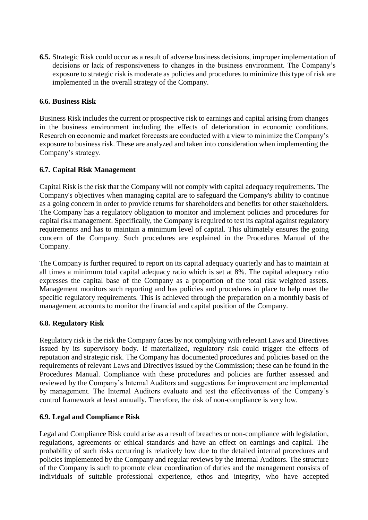**6.5.** Strategic Risk could occur as a result of adverse business decisions, improper implementation of decisions or lack of responsiveness to changes in the business environment. The Company's exposure to strategic risk is moderate as policies and procedures to minimize this type of risk are implemented in the overall strategy of the Company.

### **6.6. Business Risk**

Business Risk includes the current or prospective risk to earnings and capital arising from changes in the business environment including the effects of deterioration in economic conditions. Research on economic and market forecasts are conducted with a view to minimize the Company's exposure to business risk. These are analyzed and taken into consideration when implementing the Company's strategy.

### **6.7. Capital Risk Management**

Capital Risk is the risk that the Company will not comply with capital adequacy requirements. The Company's objectives when managing capital are to safeguard the Company's ability to continue as a going concern in order to provide returns for shareholders and benefits for other stakeholders. The Company has a regulatory obligation to monitor and implement policies and procedures for capital risk management. Specifically, the Company is required to test its capital against regulatory requirements and has to maintain a minimum level of capital. This ultimately ensures the going concern of the Company. Such procedures are explained in the Procedures Manual of the Company.

The Company is further required to report on its capital adequacy quarterly and has to maintain at all times a minimum total capital adequacy ratio which is set at 8%. The capital adequacy ratio expresses the capital base of the Company as a proportion of the total risk weighted assets. Management monitors such reporting and has policies and procedures in place to help meet the specific regulatory requirements. This is achieved through the preparation on a monthly basis of management accounts to monitor the financial and capital position of the Company.

# **6.8. Regulatory Risk**

Regulatory risk is the risk the Company faces by not complying with relevant Laws and Directives issued by its supervisory body. If materialized, regulatory risk could trigger the effects of reputation and strategic risk. The Company has documented procedures and policies based on the requirements of relevant Laws and Directives issued by the Commission; these can be found in the Procedures Manual. Compliance with these procedures and policies are further assessed and reviewed by the Company's Internal Auditors and suggestions for improvement are implemented by management. The Internal Auditors evaluate and test the effectiveness of the Company's control framework at least annually. Therefore, the risk of non-compliance is very low.

# **6.9. Legal and Compliance Risk**

Legal and Compliance Risk could arise as a result of breaches or non-compliance with legislation, regulations, agreements or ethical standards and have an effect on earnings and capital. The probability of such risks occurring is relatively low due to the detailed internal procedures and policies implemented by the Company and regular reviews by the Internal Auditors. The structure of the Company is such to promote clear coordination of duties and the management consists of individuals of suitable professional experience, ethos and integrity, who have accepted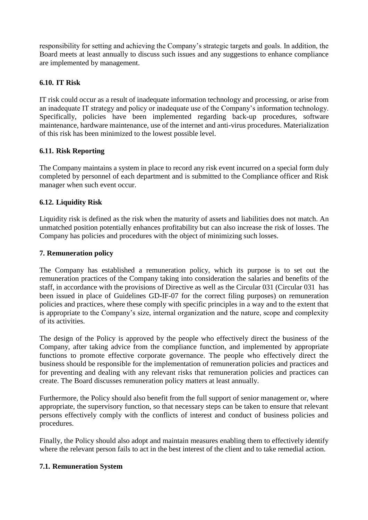responsibility for setting and achieving the Company's strategic targets and goals. In addition, the Board meets at least annually to discuss such issues and any suggestions to enhance compliance are implemented by management.

### **6.10. IT Risk**

IT risk could occur as a result of inadequate information technology and processing, or arise from an inadequate IT strategy and policy or inadequate use of the Company's information technology. Specifically, policies have been implemented regarding back-up procedures, software maintenance, hardware maintenance, use of the internet and anti-virus procedures. Materialization of this risk has been minimized to the lowest possible level.

### **6.11. Risk Reporting**

The Company maintains a system in place to record any risk event incurred on a special form duly completed by personnel of each department and is submitted to the Compliance officer and Risk manager when such event occur.

### **6.12. Liquidity Risk**

Liquidity risk is defined as the risk when the maturity of assets and liabilities does not match. An unmatched position potentially enhances profitability but can also increase the risk of losses. The Company has policies and procedures with the object of minimizing such losses.

### **7. Remuneration policy**

The Company has established a remuneration policy, which its purpose is to set out the remuneration practices of the Company taking into consideration the salaries and benefits of the staff, in accordance with the provisions of Directive as well as the Circular 031 (Circular 031 has been issued in place of Guidelines GD-IF-07 for the correct filing purposes) on remuneration policies and practices, where these comply with specific principles in a way and to the extent that is appropriate to the Company's size, internal organization and the nature, scope and complexity of its activities.

The design of the Policy is approved by the people who effectively direct the business of the Company, after taking advice from the compliance function, and implemented by appropriate functions to promote effective corporate governance. The people who effectively direct the business should be responsible for the implementation of remuneration policies and practices and for preventing and dealing with any relevant risks that remuneration policies and practices can create. The Board discusses remuneration policy matters at least annually.

Furthermore, the Policy should also benefit from the full support of senior management or, where appropriate, the supervisory function, so that necessary steps can be taken to ensure that relevant persons effectively comply with the conflicts of interest and conduct of business policies and procedures.

Finally, the Policy should also adopt and maintain measures enabling them to effectively identify where the relevant person fails to act in the best interest of the client and to take remedial action.

### **7.1. Remuneration System**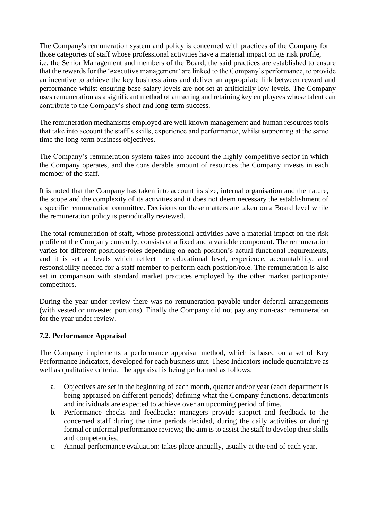The Company's remuneration system and policy is concerned with practices of the Company for those categories of staff whose professional activities have a material impact on its risk profile, i.e. the Senior Management and members of the Board; the said practices are established to ensure that the rewards for the 'executive management' are linked to the Company's performance, to provide an incentive to achieve the key business aims and deliver an appropriate link between reward and performance whilst ensuring base salary levels are not set at artificially low levels. The Company uses remuneration as a significant method of attracting and retaining key employees whose talent can contribute to the Company's short and long-term success.

The remuneration mechanisms employed are well known management and human resources tools that take into account the staff's skills, experience and performance, whilst supporting at the same time the long-term business objectives.

The Company's remuneration system takes into account the highly competitive sector in which the Company operates, and the considerable amount of resources the Company invests in each member of the staff.

It is noted that the Company has taken into account its size, internal organisation and the nature, the scope and the complexity of its activities and it does not deem necessary the establishment of a specific remuneration committee. Decisions on these matters are taken on a Board level while the remuneration policy is periodically reviewed.

The total remuneration of staff, whose professional activities have a material impact on the risk profile of the Company currently, consists of a fixed and a variable component. The remuneration varies for different positions/roles depending on each position's actual functional requirements, and it is set at levels which reflect the educational level, experience, accountability, and responsibility needed for a staff member to perform each position/role. The remuneration is also set in comparison with standard market practices employed by the other market participants/ competitors.

During the year under review there was no remuneration payable under deferral arrangements (with vested or unvested portions). Finally the Company did not pay any non-cash remuneration for the year under review.

# **7.2. Performance Appraisal**

The Company implements a performance appraisal method, which is based on a set of Key Performance Indicators, developed for each business unit. These Indicators include quantitative as well as qualitative criteria. The appraisal is being performed as follows:

- a. Objectives are set in the beginning of each month, quarter and/or year (each department is being appraised on different periods) defining what the Company functions, departments and individuals are expected to achieve over an upcoming period of time.
- b. Performance checks and feedbacks: managers provide support and feedback to the concerned staff during the time periods decided, during the daily activities or during formal or informal performance reviews; the aim is to assist the staff to develop their skills and competencies.
- c. Annual performance evaluation: takes place annually, usually at the end of each year.